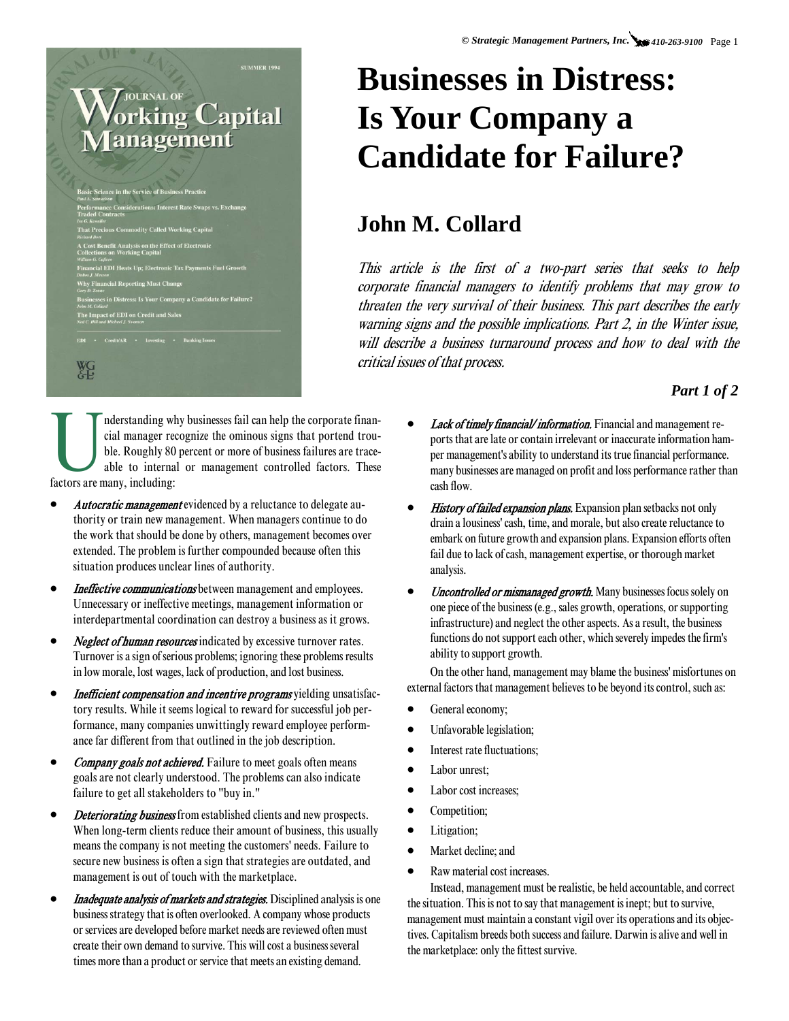# **SUMMER 1994 JOURNAL OF** orking Capital **anagement C Tax Payments Fuel Growth**

Credit/AR • Investing • Banking Issu

WG<sub>-</sub>

## **Businesses in Distress: Is Your Company a Candidate for Failure?**

### **John M. Collard**

This article is the first of a two-part series that seeks to help corporate financial managers to identify problems that may grow to threaten the very survival of their business. This part describes the early warning signs and the possible implications. Part 2, in the Winter issue, will describe a business turnaround process and how to deal with the critical issues of that process.

#### *Part 1 of 2*

Inderstanding why businesses fail can help the corporate finan-<br>cial manager recognize the ominous signs that portend trou-<br>ble. Roughly 80 percent or more of business failures are trace-<br>factors are many, including: cial manager recognize the ominous signs that portend trouble. Roughly 80 percent or more of business failures are traceable to internal or management controlled factors. These factors are many, including:

- *Autocratic management* evidenced by a reluctance to delegate authority or train new management. When managers continue to do the work that should be done by others, management becomes over extended. The problem is further compounded because often this situation produces unclear lines of authority.
- Ineffective communications between management and employees. Unnecessary or ineffective meetings, management information or interdepartmental coordination can destroy a business as it grows.
- **Neglect of human resources** indicated by excessive turnover rates. Turnover is a sign of serious problems; ignoring these problems results in low morale, lost wages, lack of production, and lost business.
- Inefficient compensation and incentive programs yielding unsatisfactory results. While it seems logical to reward for successful job performance, many companies unwittingly reward employee performance far different from that outlined in the job description.
- **Company goals not achieved.** Failure to meet goals often means goals are not clearly understood. The problems can also indicate failure to get all stakeholders to "buy in."
- **Deteriorating business** from established clients and new prospects. When long-term clients reduce their amount of business, this usually means the company is not meeting the customers' needs. Failure to secure new business is often a sign that strategies are outdated, and management is out of touch with the marketplace.
- **Inadequate analysis of markets and strategies.** Disciplined analysis is one business strategy that is often overlooked. A company whose products or services are developed before market needs are reviewed often must create their own demand to survive. This will cost a business several times more than a product or service that meets an existing demand.
- **Lack of timely financial/information.** Financial and management reports that are late or contain irrelevant or inaccurate information hamper management's ability to understand its true financial performance. many businesses are managed on profit and loss performance rather than cash flow.
- **History of failed expansion plans.** Expansion plan setbacks not only drain a lousiness' cash, time, and morale, but also create reluctance to embark on future growth and expansion plans. Expansion efforts often fail due to lack of cash, management expertise, or thorough market analysis.
- *Uncontrolled or mismanaged growth*. Many businesses focus solely on one piece of the business (e.g., sales growth, operations, or supporting infrastructure) and neglect the other aspects. As a result, the business functions do not support each other, which severely impedes the firm's ability to support growth.

On the other hand, management may blame the business' misfortunes on external factors that management believes to be beyond its control, such as:

- General economy;
- Unfavorable legislation;
- Interest rate fluctuations;
- Labor unrest:
- Labor cost increases;
- Competition;
- Litigation;
- Market decline; and
- Raw material cost increases.

Instead, management must be realistic, be held accountable, and correct the situation. This is not to say that management is inept; but to survive, management must maintain a constant vigil over its operations and its objectives. Capitalism breeds both success and failure. Darwin is alive and well in the marketplace: only the fittest survive.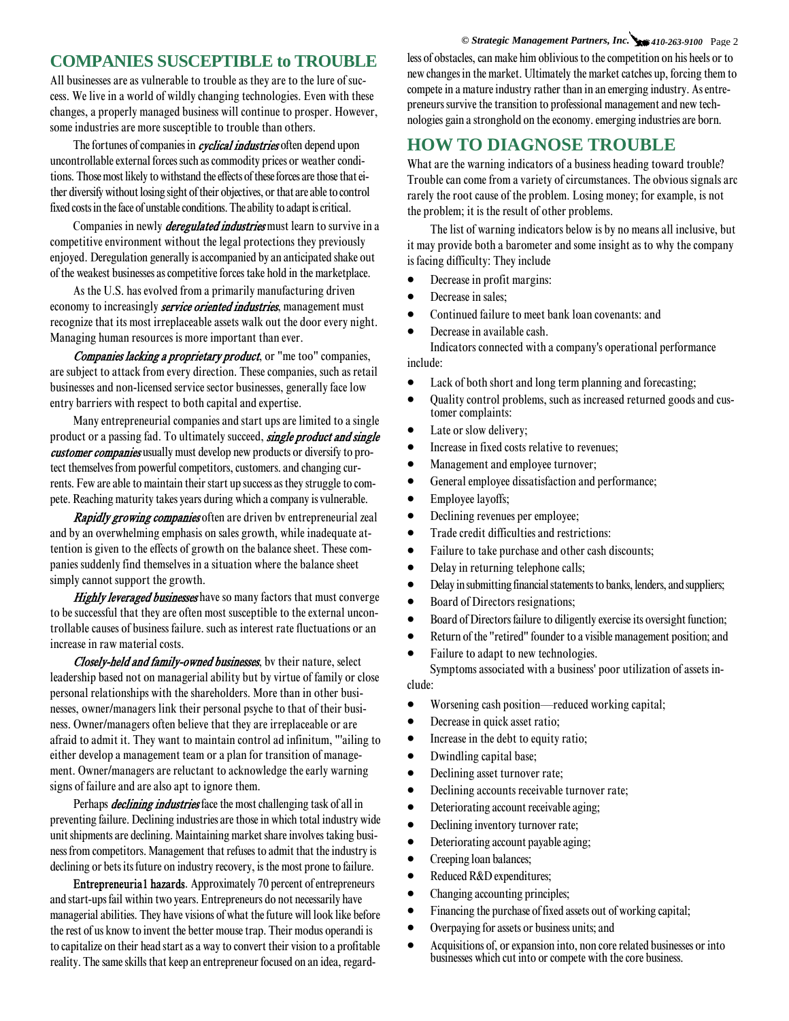#### **COMPANIES SUSCEPTIBLE to TROUBLE**

All businesses are as vulnerable to trouble as they are to the lure of success. We live in a world of wildly changing technologies. Even with these changes, a properly managed business will continue to prosper. However, some industries are more susceptible to trouble than others.

The fortunes of companies in *cyclical industries* often depend upon uncontrollable external forces such as commodity prices or weather conditions. Those most likely to withstand the effects of these forces are those that either diversify without losing sight of their objectives, or that are able to control fixed costs in the face of unstable conditions. The ability to adapt is critical.

Companies in newly *deregulated industries* must learn to survive in a competitive environment without the legal protections they previously enjoyed. Deregulation generally is accompanied by an anticipated shake out of the weakest businesses as competitive forces take hold in the marketplace.

As the U.S. has evolved from a primarily manufacturing driven economy to increasingly **service oriented industries**, management must recognize that its most irreplaceable assets walk out the door every night. Managing human resources is more important than ever.

Companies lacking a proprietary product, or "me too" companies, are subject to attack from every direction. These companies, such as retail businesses and non-licensed service sector businesses, generally face low entry barriers with respect to both capital and expertise.

Many entrepreneurial companies and start ups are limited to a single product or a passing fad. To ultimately succeed, single product and single customer companies usually must develop new products or diversify to protect themselves from powerful competitors, customers. and changing currents. Few are able to maintain their start up success as they struggle to compete. Reaching maturity takes years during which a company is vulnerable.

Rapidly growing companies often are driven by entrepreneurial zeal and by an overwhelming emphasis on sales growth, while inadequate attention is given to the effects of growth on the balance sheet. These companies suddenly find themselves in a situation where the balance sheet simply cannot support the growth.

Highly leveraged businesses have so many factors that must converge to be successful that they are often most susceptible to the external uncontrollable causes of business failure. such as interest rate fluctuations or an increase in raw material costs.

Closely-held and family-owned businesses, by their nature, select leadership based not on managerial ability but by virtue of family or close personal relationships with the shareholders. More than in other businesses, owner/managers link their personal psyche to that of their business. Owner/managers often believe that they are irreplaceable or are afraid to admit it. They want to maintain control ad infinitum, "'ailing to either develop a management team or a plan for transition of management. Owner/managers are reluctant to acknowledge the early warning signs of failure and are also apt to ignore them.

Perhaps *declining industries* face the most challenging task of all in preventing failure. Declining industries are those in which total industry wide unit shipments are declining. Maintaining market share involves taking business from competitors. Management that refuses to admit that the industry is declining or bets its future on industry recovery, is the most prone to failure.

Entrepreneuria1 hazards. Approximately 70 percent of entrepreneurs and start-ups fail within two years. Entrepreneurs do not necessarily have managerial abilities. They have visions of what the future will look like before the rest of us know to invent the better mouse trap. Their modus operandi is to capitalize on their head start as a way to convert their vision to a profitable reality. The same skills that keep an entrepreneur focused on an idea, regard-

*© Strategic Management Partners, Inc. 410-263-9100* Page 2 less of obstacles, can make him oblivious to the competition on his heels or to new changes in the market. Ultimately the market catches up, forcing them to compete in a mature industry rather than in an emerging industry. As entrepreneurs survive the transition to professional management and new technologies gain a stronghold on the economy. emerging industries are born.

#### **HOW TO DIAGNOSE TROUBLE**

What are the warning indicators of a business heading toward trouble? Trouble can come from a variety of circumstances. The obvious signals arc rarely the root cause of the problem. Losing money; for example, is not the problem; it is the result of other problems.

The list of warning indicators below is by no means all inclusive, but it may provide both a barometer and some insight as to why the company is facing difficulty: They include

- Decrease in profit margins:
- Decrease in sales:
- Continued failure to meet bank loan covenants: and
- Decrease in available cash.

Indicators connected with a company's operational performance include:

- Lack of both short and long term planning and forecasting;
- Quality control problems, such as increased returned goods and customer complaints:
- Late or slow delivery;
- Increase in fixed costs relative to revenues;
- Management and employee turnover;
- General employee dissatisfaction and performance;
- Employee layoffs;
- Declining revenues per employee;
- Trade credit difficulties and restrictions:
- Failure to take purchase and other cash discounts;
- Delay in returning telephone calls;
- Delay in submitting financial statements to banks, lenders, and suppliers;
- Board of Directors resignations;
- Board of Directors failure to diligently exercise its oversight function;
- Return of the "retired" founder to a visible management position; and
- Failure to adapt to new technologies.

Symptoms associated with a business' poor utilization of assets include:

- Worsening cash position—reduced working capital;
- Decrease in quick asset ratio;
- Increase in the debt to equity ratio;
- Dwindling capital base;
- Declining asset turnover rate;
- Declining accounts receivable turnover rate;
- Deteriorating account receivable aging;
- Declining inventory turnover rate;
- Deteriorating account payable aging;
- Creeping loan balances;
- Reduced R&D expenditures;
- Changing accounting principles;
- Financing the purchase of fixed assets out of working capital;
- Overpaying for assets or business units; and
- Acquisitions of, or expansion into, non core related businesses or into businesses which cut into or compete with the core business.